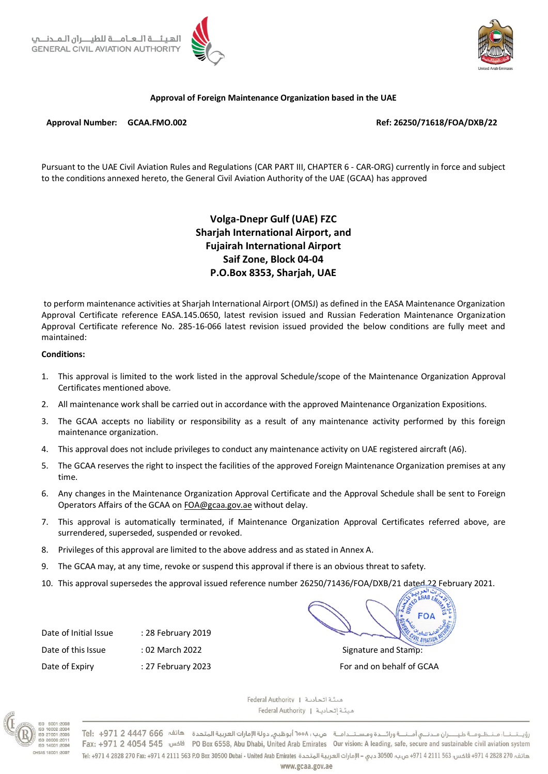

## **Approval of Foreign Maintenance Organization based in the UAE**

### **Approval Number: GCAA.FMO.002 Ref: 26250/71618/FOA/DXB/22**

Pursuant to the UAE Civil Aviation Rules and Regulations (CAR PART III, CHAPTER 6 - CAR-ORG) currently in force and subject to the conditions annexed hereto, the General Civil Aviation Authority of the UAE (GCAA) has approved

# **Volga-Dnepr Gulf (UAE) FZC Sharjah International Airport, and Fujairah International Airport Saif Zone, Block 04-04 P.O.Box 8353, Sharjah, UAE**

to perform maintenance activities at Sharjah International Airport (OMSJ) as defined in the EASA Maintenance Organization Approval Certificate reference EASA.145.0650, latest revision issued and Russian Federation Maintenance Organization Approval Certificate reference No. 285-16-066 latest revision issued provided the below conditions are fully meet and maintained:

#### **Conditions:**

- 1. This approval is limited to the work listed in the approval Schedule/scope of the Maintenance Organization Approval Certificates mentioned above.
- 2. All maintenance work shall be carried out in accordance with the approved Maintenance Organization Expositions.
- 3. The GCAA accepts no liability or responsibility as a result of any maintenance activity performed by this foreign maintenance organization.
- 4. This approval does not include privileges to conduct any maintenance activity on UAE registered aircraft (A6).
- 5. The GCAA reserves the right to inspect the facilities of the approved Foreign Maintenance Organization premises at any time.
- 6. Any changes in the Maintenance Organization Approval Certificate and the Approval Schedule shall be sent to Foreign Operators Affairs of the GCAA o[n FOA@gcaa.gov.ae](mailto:FOA@gcaa.gov.ae) without delay.
- 7. This approval is automatically terminated, if Maintenance Organization Approval Certificates referred above, are surrendered, superseded, suspended or revoked.
- 8. Privileges of this approval are limited to the above address and as stated in Annex A.
- 9. The GCAA may, at any time, revoke or suspend this approval if there is an obvious threat to safety.
- 10. This approval supersedes the approval issued reference number 26250/71436/FOA/DXB/21 dated 22 February 2021.

Date of Initial Issue : 28 February 2019 Date of this Issue : 02 March 2022 *Date of this Issue* is the stamp: Date of Expiry : 27 February 2023 For and on behalf of GCAA

**AR** 



Federal Authority | عينًـة اتحاديـة | Federal Authority | ميئة اتحادية

رؤيـتـنـا: مـنـظـومـة طيـــران مـدنـي أمـنــة ورائــدة ومسـتـدامـة صب بن ١٥٥٨ أبوظبي دولة الإمارات العربية المتحدة هاتف: 666 4447 2 7el: +971 2+ 1971 Fax: +971 2 4054 545 (PO Box 6558, Abu Dhabi, United Arab Emirates Our vision: A leading, safe, secure and sustainable civil aviation system هاتف: 270 2824 9714 فاكس: 971 4 2111 1563 4974 م.ب؛ 30500 دبي – الإمارات العربية المتحدة Viele Appl - و من باب 30500 دبي – الإمارات العربية المتحدة Viele Appl 30500 Dubai - United Arab Emirates . وتاتف: 4971 4 2828 270 Fa www.gcaa.gov.ae